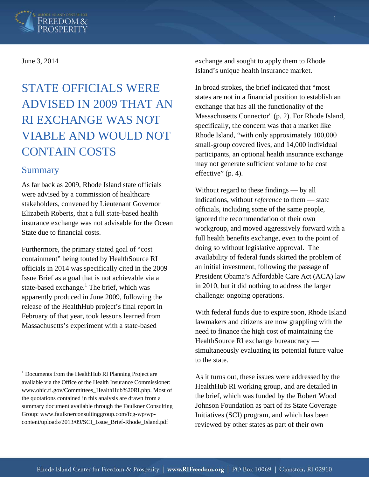

#### June 3, 2014

# STATE OFFICIALS WERE ADVISED IN 2009 THAT AN RI EXCHANGE WAS NOT VIABLE AND WOULD NOT CONTAIN COSTS

### Summary

 $\overline{a}$ 

As far back as 2009, Rhode Island state officials were advised by a commission of healthcare stakeholders, convened by Lieutenant Governor Elizabeth Roberts, that a full state-based health insurance exchange was not advisable for the Ocean State due to financial costs.

Furthermore, the primary stated goal of "cost containment" being touted by HealthSource RI officials in 2014 was specifically cited in the 2009 Issue Brief as a goal that is not achievable via a state-based exchange.<sup>1</sup> The brief, which was apparently produced in June 2009, following the release of the HealthHub project's final report in February of that year, took lessons learned from Massachusetts's experiment with a state-based

exchange and sought to apply them to Rhode Island's unique health insurance market.

In broad strokes, the brief indicated that "most states are not in a financial position to establish an exchange that has all the functionality of the Massachusetts Connector" (p. 2). For Rhode Island, specifically, the concern was that a market like Rhode Island, "with only approximately 100,000 small-group covered lives, and 14,000 individual participants, an optional health insurance exchange may not generate sufficient volume to be cost effective" (p. 4).

Without regard to these findings — by all indications, without *reference* to them — state officials, including some of the same people, ignored the recommendation of their own workgroup, and moved aggressively forward with a full health benefits exchange, even to the point of doing so without legislative approval. The availability of federal funds skirted the problem of an initial investment, following the passage of President Obama's Affordable Care Act (ACA) law in 2010, but it did nothing to address the larger challenge: ongoing operations.

With federal funds due to expire soon, Rhode Island lawmakers and citizens are now grappling with the need to finance the high cost of maintaining the HealthSource RI exchange bureaucracy simultaneously evaluating its potential future value to the state.

As it turns out, these issues were addressed by the HealthHub RI working group, and are detailed in the brief, which was funded by the Robert Wood Johnson Foundation as part of its State Coverage Initiatives (SCI) program, and which has been reviewed by other states as part of their own

<sup>&</sup>lt;sup>1</sup> Documents from the HealthHub RI Planning Project are available via the Office of the Health Insurance Commissioner: www.ohic.ri.gov/Committees\_HealthHub%20RI.php. Most of the quotations contained in this analysis are drawn from a summary document available through the Faulkner Consulting Group: www.faulknerconsultinggroup.com/fcg-wp/wpcontent/uploads/2013/09/SCI\_Issue\_Brief-Rhode\_Island.pdf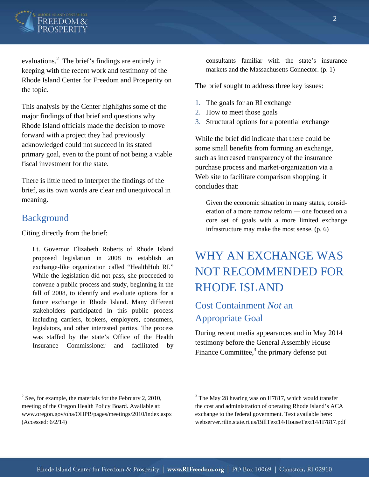

evaluations. $2$  The brief's findings are entirely in keeping with the recent work and testimony of the Rhode Island Center for Freedom and Prosperity on the topic.

This analysis by the Center highlights some of the major findings of that brief and questions why Rhode Island officials made the decision to move forward with a project they had previously acknowledged could not succeed in its stated primary goal, even to the point of not being a viable fiscal investment for the state.

There is little need to interpret the findings of the brief, as its own words are clear and unequivocal in meaning.

### **Background**

 $\overline{a}$ 

Citing directly from the brief:

Lt. Governor Elizabeth Roberts of Rhode Island proposed legislation in 2008 to establish an exchange-like organization called "HealthHub RI." While the legislation did not pass, she proceeded to convene a public process and study, beginning in the fall of 2008, to identify and evaluate options for a future exchange in Rhode Island. Many different stakeholders participated in this public process including carriers, brokers, employers, consumers, legislators, and other interested parties. The process was staffed by the state's Office of the Health Insurance Commissioner and facilitated by consultants familiar with the state's insurance markets and the Massachusetts Connector. (p. 1)

The brief sought to address three key issues:

- 1. The goals for an RI exchange
- 2. How to meet those goals
- 3. Structural options for a potential exchange

While the brief did indicate that there could be some small benefits from forming an exchange, such as increased transparency of the insurance purchase process and market-organization via a Web site to facilitate comparison shopping, it concludes that:

Given the economic situation in many states, consideration of a more narrow reform — one focused on a core set of goals with a more limited exchange infrastructure may make the most sense. (p. 6)

## WHY AN EXCHANGE WAS NOT RECOMMENDED FOR RHODE ISLAND

### Cost Containment *Not* an Appropriate Goal

During recent media appearances and in May 2014 testimony before the General Assembly House Finance Committee, $3$  the primary defense put

 $\overline{a}$ 

 $2^2$  See, for example, the materials for the February 2, 2010, meeting of the Oregon Health Policy Board. Available at: www.oregon.gov/oha/OHPB/pages/meetings/2010/index.aspx (Accessed: 6/2/14)

<sup>&</sup>lt;sup>3</sup> The May 28 hearing was on H7817, which would transfer the cost and administration of operating Rhode Island's ACA exchange to the federal government. Text available here: webserver.rilin.state.ri.us/BillText14/HouseText14/H7817.pdf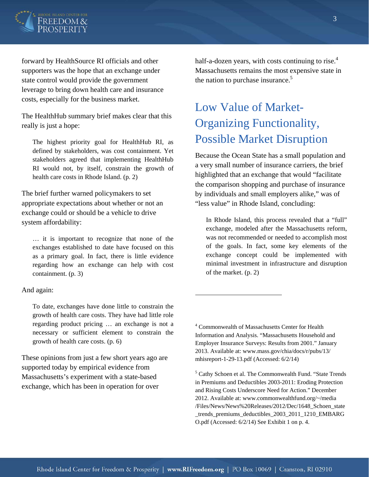

forward by HealthSource RI officials and other supporters was the hope that an exchange under state control would provide the government leverage to bring down health care and insurance costs, especially for the business market.

The HealthHub summary brief makes clear that this really is just a hope:

The highest priority goal for HealthHub RI, as defined by stakeholders, was cost containment. Yet stakeholders agreed that implementing HealthHub RI would not, by itself, constrain the growth of health care costs in Rhode Island. (p. 2)

The brief further warned policymakers to set appropriate expectations about whether or not an exchange could or should be a vehicle to drive system affordability:

… it is important to recognize that none of the exchanges established to date have focused on this as a primary goal. In fact, there is little evidence regarding how an exchange can help with cost containment. (p. 3)

#### And again:

To date, exchanges have done little to constrain the growth of health care costs. They have had little role regarding product pricing … an exchange is not a necessary or sufficient element to constrain the growth of health care costs. (p. 6)

These opinions from just a few short years ago are supported today by empirical evidence from Massachusetts's experiment with a state-based exchange, which has been in operation for over

half-a-dozen years, with costs continuing to rise.<sup>4</sup> Massachusetts remains the most expensive state in the nation to purchase insurance.<sup>5</sup>

# Low Value of Market-Organizing Functionality, Possible Market Disruption

Because the Ocean State has a small population and a very small number of insurance carriers, the brief highlighted that an exchange that would "facilitate the comparison shopping and purchase of insurance by individuals and small employers alike," was of "less value" in Rhode Island, concluding:

In Rhode Island, this process revealed that a "full" exchange, modeled after the Massachusetts reform, was not recommended or needed to accomplish most of the goals. In fact, some key elements of the exchange concept could be implemented with minimal investment in infrastructure and disruption of the market. (p. 2)

 $\overline{a}$ 

<sup>4</sup> Commonwealth of Massachusetts Center for Health Information and Analysis. "Massachusetts Household and Employer Insurance Surveys: Results from 2001." January 2013. Available at: www.mass.gov/chia/docs/r/pubs/13/ mhisreport-1-29-13.pdf (Accessed: 6/2/14)

<sup>&</sup>lt;sup>5</sup> Cathy Schoen et al. The Commonwealth Fund. "State Trends in Premiums and Deductibles 2003-2011: Eroding Protection and Rising Costs Underscore Need for Action." December 2012. Available at: www.commonwealthfund.org/~/media /Files/News/News%20Releases/2012/Dec/1648\_Schoen\_state \_trends\_premiums\_deductibles\_2003\_2011\_1210\_EMBARG O.pdf (Accessed: 6/2/14) See Exhibit 1 on p. 4.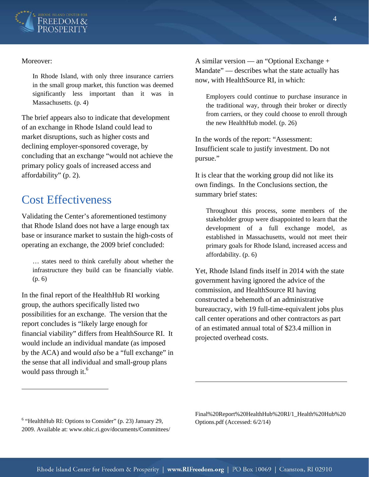

#### Moreover:

1

In Rhode Island, with only three insurance carriers in the small group market, this function was deemed significantly less important than it was in Massachusetts. (p. 4)

The brief appears also to indicate that development of an exchange in Rhode Island could lead to market disruptions, such as higher costs and declining employer-sponsored coverage, by concluding that an exchange "would not achieve the primary policy goals of increased access and affordability" (p. 2).

### Cost Effectiveness

Validating the Center's aforementioned testimony that Rhode Island does not have a large enough tax base or insurance market to sustain the high-costs of operating an exchange, the 2009 brief concluded:

… states need to think carefully about whether the infrastructure they build can be financially viable. (p. 6)

In the final report of the HealthHub RI working group, the authors specifically listed two possibilities for an exchange. The version that the report concludes is "likely large enough for financial viability" differs from HealthSource RI. It would include an individual mandate (as imposed by the ACA) and would *also* be a "full exchange" in the sense that all individual and small-group plans would pass through it. $<sup>6</sup>$ </sup>

A similar version — an "Optional Exchange + Mandate" — describes what the state actually has now, with HealthSource RI, in which:

Employers could continue to purchase insurance in the traditional way, through their broker or directly from carriers, or they could choose to enroll through the new HealthHub model. (p. 26)

In the words of the report: "Assessment: Insufficient scale to justify investment. Do not pursue."

It is clear that the working group did not like its own findings. In the Conclusions section, the summary brief states:

Throughout this process, some members of the stakeholder group were disappointed to learn that the development of a full exchange model, as established in Massachusetts, would not meet their primary goals for Rhode Island, increased access and affordability. (p. 6)

Yet, Rhode Island finds itself in 2014 with the state government having ignored the advice of the commission, and HealthSource RI having constructed a behemoth of an administrative bureaucracy, with 19 full-time-equivalent jobs plus call center operations and other contractors as part of an estimated annual total of \$23.4 million in projected overhead costs.

<sup>6</sup> "HealthHub RI: Options to Consider" (p. 23) January 29, 2009. Available at: www.ohic.ri.gov/documents/Committees/ Final%20Report%20HealthHub%20RI/1\_Health%20Hub%20 Options.pdf (Accessed: 6/2/14)

 $\overline{a}$